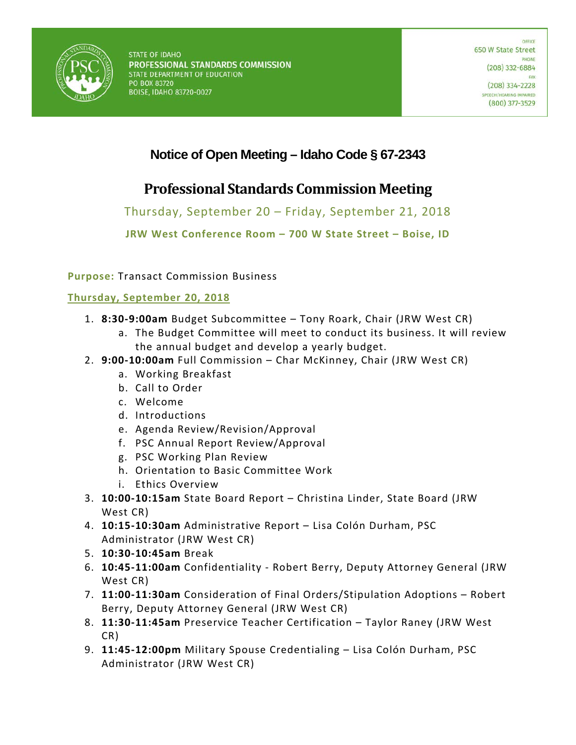

## **Notice of Open Meeting – Idaho Code § 67-2343**

# **Professional Standards Commission Meeting**

Thursday, September 20 – Friday, September 21, 2018

**JRW West Conference Room – 700 W State Street – Boise, ID** 

**Purpose:** Transact Commission Business

### **Thursday, September 20, 2018**

- 1. **8:30-9:00am** Budget Subcommittee Tony Roark, Chair (JRW West CR)
	- a. The Budget Committee will meet to conduct its business. It will review the annual budget and develop a yearly budget.
- 2. **9:00-10:00am** Full Commission Char McKinney, Chair (JRW West CR)
	- a. Working Breakfast
	- b. Call to Order
	- c. Welcome
	- d. Introductions
	- e. Agenda Review/Revision/Approval
	- f. PSC Annual Report Review/Approval
	- g. PSC Working Plan Review
	- h. Orientation to Basic Committee Work
	- i. Ethics Overview
- 3. **10:00-10:15am** State Board Report Christina Linder, State Board (JRW West CR)
- 4. **10:15-10:30am** Administrative Report Lisa Colón Durham, PSC Administrator (JRW West CR)
- 5. **10:30-10:45am** Break
- 6. **10:45-11:00am** Confidentiality Robert Berry, Deputy Attorney General (JRW West CR)
- 7. **11:00-11:30am** Consideration of Final Orders/Stipulation Adoptions Robert Berry, Deputy Attorney General (JRW West CR)
- 8. **11:30-11:45am** Preservice Teacher Certification Taylor Raney (JRW West CR)
- 9. **11:45-12:00pm** Military Spouse Credentialing Lisa Colón Durham, PSC Administrator (JRW West CR)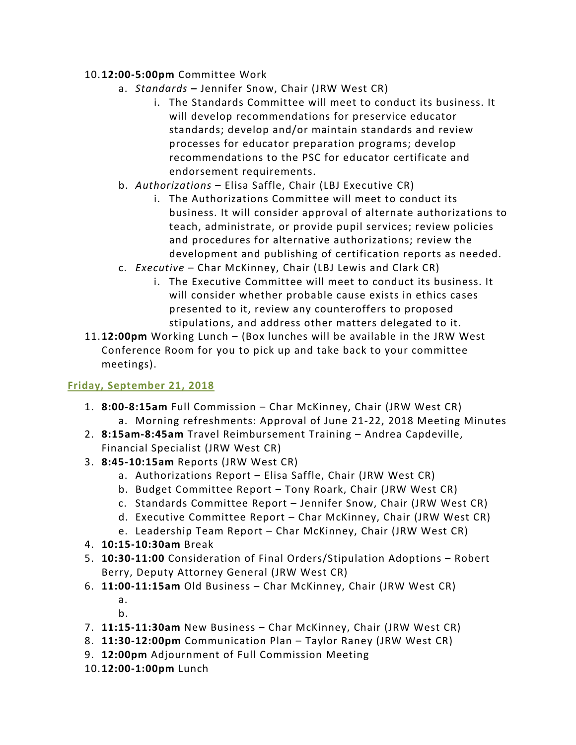#### 10.**12:00-5:00pm** Committee Work

- a. *Standards* **–** Jennifer Snow, Chair (JRW West CR)
	- i. The Standards Committee will meet to conduct its business. It will develop recommendations for preservice educator standards; develop and/or maintain standards and review processes for educator preparation programs; develop recommendations to the PSC for educator certificate and endorsement requirements.
- b. *Authorizations*  Elisa Saffle, Chair (LBJ Executive CR)
	- i. The Authorizations Committee will meet to conduct its business. It will consider approval of alternate authorizations to teach, administrate, or provide pupil services; review policies and procedures for alternative authorizations; review the development and publishing of certification reports as needed.
- c. *Executive*  Char McKinney, Chair (LBJ Lewis and Clark CR)
	- i. The Executive Committee will meet to conduct its business. It will consider whether probable cause exists in ethics cases presented to it, review any counteroffers to proposed stipulations, and address other matters delegated to it.
- 11.**12:00pm** Working Lunch (Box lunches will be available in the JRW West Conference Room for you to pick up and take back to your committee meetings).

### **Friday, September 21, 2018**

- 1. **8:00-8:15am** Full Commission Char McKinney, Chair (JRW West CR) a. Morning refreshments: Approval of June 21-22, 2018 Meeting Minutes
- 2. **8:15am-8:45am** Travel Reimbursement Training Andrea Capdeville, Financial Specialist (JRW West CR)
- 3. **8:45-10:15am** Reports (JRW West CR)
	- a. Authorizations Report Elisa Saffle, Chair (JRW West CR)
	- b. Budget Committee Report Tony Roark, Chair (JRW West CR)
	- c. Standards Committee Report Jennifer Snow, Chair (JRW West CR)
	- d. Executive Committee Report Char McKinney, Chair (JRW West CR)
	- e. Leadership Team Report Char McKinney, Chair (JRW West CR)
- 4. **10:15-10:30am** Break
- 5. **10:30-11:00** Consideration of Final Orders/Stipulation Adoptions Robert Berry, Deputy Attorney General (JRW West CR)
- 6. **11:00-11:15am** Old Business Char McKinney, Chair (JRW West CR)
	- a.
	- b.
- 7. **11:15-11:30am** New Business Char McKinney, Chair (JRW West CR)
- 8. **11:30-12:00pm** Communication Plan Taylor Raney (JRW West CR)
- 9. **12:00pm** Adjournment of Full Commission Meeting
- 10.**12:00-1:00pm** Lunch